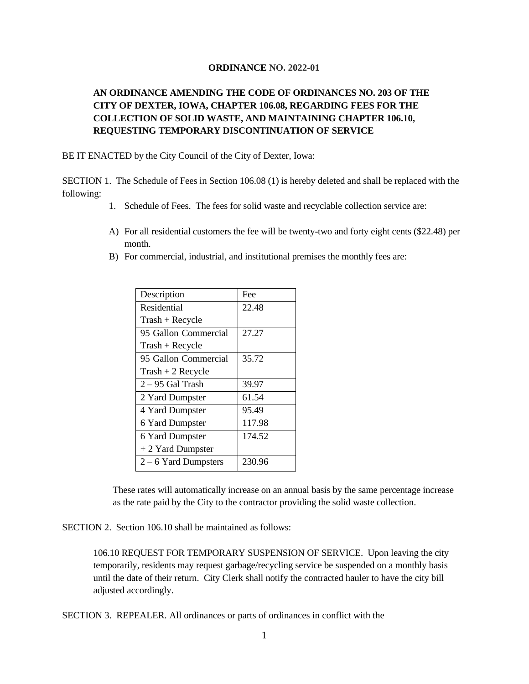## **ORDINANCE NO. 2022-01**

## **AN ORDINANCE AMENDING THE CODE OF ORDINANCES NO. 203 OF THE CITY OF DEXTER, IOWA, CHAPTER 106.08, REGARDING FEES FOR THE COLLECTION OF SOLID WASTE, AND MAINTAINING CHAPTER 106.10, REQUESTING TEMPORARY DISCONTINUATION OF SERVICE**

BE IT ENACTED by the City Council of the City of Dexter, Iowa:

SECTION 1. The Schedule of Fees in Section 106.08 (1) is hereby deleted and shall be replaced with the following:

- 1. Schedule of Fees. The fees for solid waste and recyclable collection service are:
- A) For all residential customers the fee will be twenty-two and forty eight cents (\$22.48) per month.
- B) For commercial, industrial, and institutional premises the monthly fees are:

| Description          | Fee    |
|----------------------|--------|
| Residential          | 22.48  |
| $Transh + Recycle$   |        |
| 95 Gallon Commercial | 27.27  |
| $Transh + Recycle$   |        |
| 95 Gallon Commercial | 35.72  |
| $Trash + 2$ Recycle  |        |
| $2 - 95$ Gal Trash   | 39.97  |
| 2 Yard Dumpster      | 61.54  |
| 4 Yard Dumpster      | 95.49  |
| 6 Yard Dumpster      | 117.98 |
| 6 Yard Dumpster      | 174.52 |
| + 2 Yard Dumpster    |        |
| $2-6$ Yard Dumpsters | 230.96 |

These rates will automatically increase on an annual basis by the same percentage increase as the rate paid by the City to the contractor providing the solid waste collection.

SECTION 2. Section 106.10 shall be maintained as follows:

106.10 REQUEST FOR TEMPORARY SUSPENSION OF SERVICE. Upon leaving the city temporarily, residents may request garbage/recycling service be suspended on a monthly basis until the date of their return. City Clerk shall notify the contracted hauler to have the city bill adjusted accordingly.

SECTION 3. REPEALER. All ordinances or parts of ordinances in conflict with the